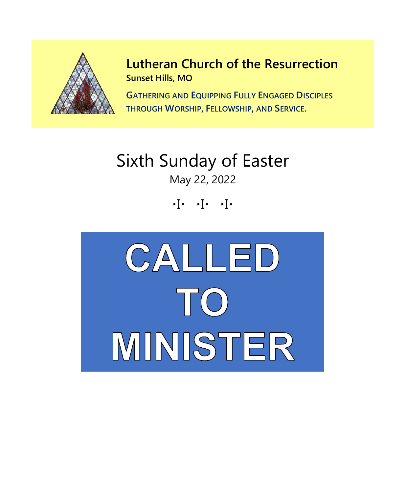

# **Lutheran Church of the Resurrection Sunset Hills, MO**

**GATHERING AND EQUIPPING FULLY ENGAGED DISCIPLES THROUGH WORSHIP, FELLOWSHIP, AND SERVICE.**

# Sixth Sunday of Easter May 22, 2022

# **+ + +**

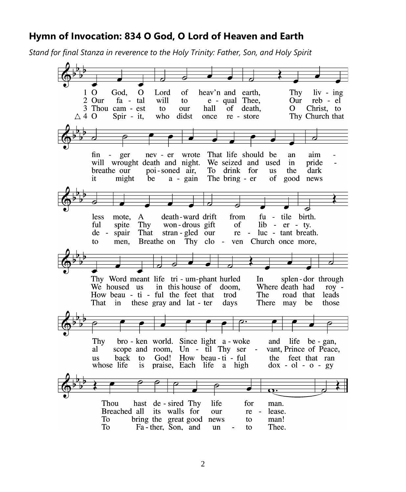#### **Hymn of Invocation: 834 O God, O Lord of Heaven and Earth**

*Stand for final Stanza in reverence to the Holy Trinity: Father, Son, and Holy Spirit*

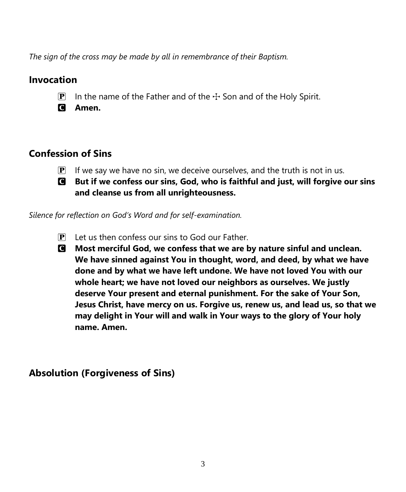*The sign of the cross may be made by all in remembrance of their Baptism.*

## **Invocation**

- **P** In the name of the Father and of the  $\pm$  Son and of the Holy Spirit.
- C **Amen.**

# **Confession of Sins**

- $\mathbf{P}$  If we say we have no sin, we deceive ourselves, and the truth is not in us.
- C **But if we confess our sins, God, who is faithful and just, will forgive our sins and cleanse us from all unrighteousness.**

*Silence for reflection on God's Word and for self-examination.*

- $\mathbf{P}$  Let us then confess our sins to God our Father.
- C **Most merciful God, we confess that we are by nature sinful and unclean. We have sinned against You in thought, word, and deed, by what we have done and by what we have left undone. We have not loved You with our whole heart; we have not loved our neighbors as ourselves. We justly deserve Your present and eternal punishment. For the sake of Your Son, Jesus Christ, have mercy on us. Forgive us, renew us, and lead us, so that we may delight in Your will and walk in Your ways to the glory of Your holy name. Amen.**

**Absolution (Forgiveness of Sins)**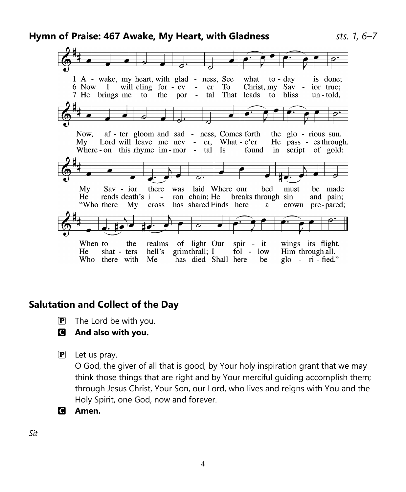#### **Hymn of Praise: 467 Awake, My Heart, with Gladness** *sts. 1, 6–7*



#### **Salutation and Collect of the Day**

- $\left| \mathbf{P} \right|$  The Lord be with you.
- C **And also with you.**
- $\mathbf{P}$  Let us pray.

O God, the giver of all that is good, by Your holy inspiration grant that we may think those things that are right and by Your merciful guiding accomplish them; through Jesus Christ, Your Son, our Lord, who lives and reigns with You and the Holy Spirit, one God, now and forever.

C **Amen.**

*Sit*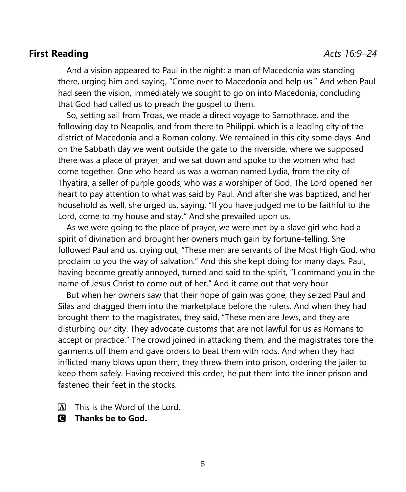#### **First Reading** *Acts 16:9–24*

And a vision appeared to Paul in the night: a man of Macedonia was standing there, urging him and saying, "Come over to Macedonia and help us." And when Paul had seen the vision, immediately we sought to go on into Macedonia, concluding that God had called us to preach the gospel to them.

So, setting sail from Troas, we made a direct voyage to Samothrace, and the following day to Neapolis, and from there to Philippi, which is a leading city of the district of Macedonia and a Roman colony. We remained in this city some days. And on the Sabbath day we went outside the gate to the riverside, where we supposed there was a place of prayer, and we sat down and spoke to the women who had come together. One who heard us was a woman named Lydia, from the city of Thyatira, a seller of purple goods, who was a worshiper of God. The Lord opened her heart to pay attention to what was said by Paul. And after she was baptized, and her household as well, she urged us, saying, "If you have judged me to be faithful to the Lord, come to my house and stay." And she prevailed upon us.

As we were going to the place of prayer, we were met by a slave girl who had a spirit of divination and brought her owners much gain by fortune-telling. She followed Paul and us, crying out, "These men are servants of the Most High God, who proclaim to you the way of salvation." And this she kept doing for many days. Paul, having become greatly annoyed, turned and said to the spirit, "I command you in the name of Jesus Christ to come out of her." And it came out that very hour.

But when her owners saw that their hope of gain was gone, they seized Paul and Silas and dragged them into the marketplace before the rulers. And when they had brought them to the magistrates, they said, "These men are Jews, and they are disturbing our city. They advocate customs that are not lawful for us as Romans to accept or practice." The crowd joined in attacking them, and the magistrates tore the garments off them and gave orders to beat them with rods. And when they had inflicted many blows upon them, they threw them into prison, ordering the jailer to keep them safely. Having received this order, he put them into the inner prison and fastened their feet in the stocks.

 $\overline{A}$  This is the Word of the Lord.

C **Thanks be to God.**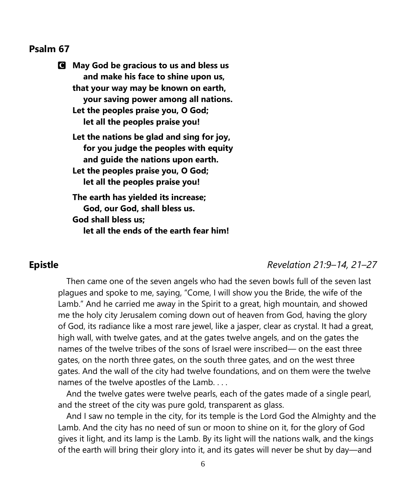#### **Psalm 67**

C **May God be gracious to us and bless us and make his face to shine upon us, that your way may be known on earth, your saving power among all nations. Let the peoples praise you, O God; let all the peoples praise you!**

**Let the nations be glad and sing for joy, for you judge the peoples with equity and guide the nations upon earth. Let the peoples praise you, O God;**

**let all the peoples praise you!**

**The earth has yielded its increase; God, our God, shall bless us. God shall bless us; let all the ends of the earth fear him!**

#### **Epistle** *Revelation 21:9–14, 21–27*

Then came one of the seven angels who had the seven bowls full of the seven last plagues and spoke to me, saying, "Come, I will show you the Bride, the wife of the Lamb." And he carried me away in the Spirit to a great, high mountain, and showed me the holy city Jerusalem coming down out of heaven from God, having the glory of God, its radiance like a most rare jewel, like a jasper, clear as crystal. It had a great, high wall, with twelve gates, and at the gates twelve angels, and on the gates the names of the twelve tribes of the sons of Israel were inscribed— on the east three gates, on the north three gates, on the south three gates, and on the west three gates. And the wall of the city had twelve foundations, and on them were the twelve names of the twelve apostles of the Lamb. . . .

And the twelve gates were twelve pearls, each of the gates made of a single pearl, and the street of the city was pure gold, transparent as glass.

And I saw no temple in the city, for its temple is the Lord God the Almighty and the Lamb. And the city has no need of sun or moon to shine on it, for the glory of God gives it light, and its lamp is the Lamb. By its light will the nations walk, and the kings of the earth will bring their glory into it, and its gates will never be shut by day—and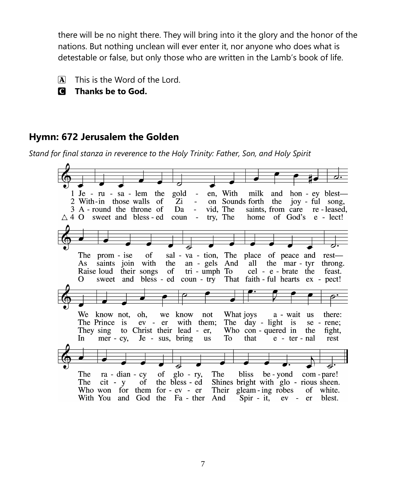there will be no night there. They will bring into it the glory and the honor of the nations. But nothing unclean will ever enter it, nor anyone who does what is detestable or false, but only those who are written in the Lamb's book of life.

- $\overline{A}$  This is the Word of the Lord.
- C **Thanks be to God.**

# **Hymn: 672 Jerusalem the Golden**

*Stand for final stanza in reverence to the Holy Trinity: Father, Son, and Holy Spirit*

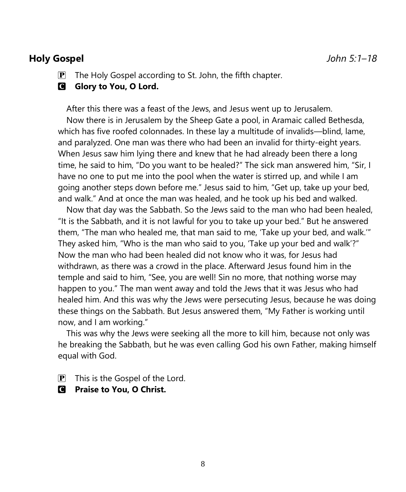#### **Holy Gospel** *John 5:1–18*

- $\mathbf{P}$  The Holy Gospel according to St. John, the fifth chapter.
- **G** Glory to You, O Lord.

After this there was a feast of the Jews, and Jesus went up to Jerusalem. Now there is in Jerusalem by the Sheep Gate a pool, in Aramaic called Bethesda, which has five roofed colonnades. In these lay a multitude of invalids—blind, lame, and paralyzed. One man was there who had been an invalid for thirty-eight years. When Jesus saw him lying there and knew that he had already been there a long time, he said to him, "Do you want to be healed?" The sick man answered him, "Sir, I have no one to put me into the pool when the water is stirred up, and while I am going another steps down before me." Jesus said to him, "Get up, take up your bed, and walk." And at once the man was healed, and he took up his bed and walked.

Now that day was the Sabbath. So the Jews said to the man who had been healed, "It is the Sabbath, and it is not lawful for you to take up your bed." But he answered them, "The man who healed me, that man said to me, 'Take up your bed, and walk.'" They asked him, "Who is the man who said to you, 'Take up your bed and walk'?" Now the man who had been healed did not know who it was, for Jesus had withdrawn, as there was a crowd in the place. Afterward Jesus found him in the temple and said to him, "See, you are well! Sin no more, that nothing worse may happen to you." The man went away and told the Jews that it was Jesus who had healed him. And this was why the Jews were persecuting Jesus, because he was doing these things on the Sabbath. But Jesus answered them, "My Father is working until now, and I am working."

This was why the Jews were seeking all the more to kill him, because not only was he breaking the Sabbath, but he was even calling God his own Father, making himself equal with God.

 $\left| \mathbf{P} \right|$  This is the Gospel of the Lord.

C **Praise to You, O Christ.**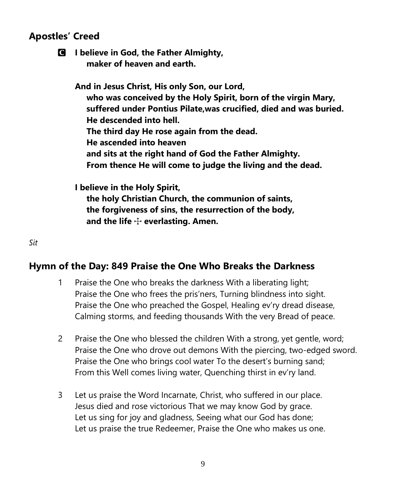### **Apostles' Creed**

**And in Jesus Christ, His only Son, our Lord, who was conceived by the Holy Spirit, born of the virgin Mary, suffered under Pontius Pilate,was crucified, died and was buried. He descended into hell. The third day He rose again from the dead. He ascended into heaven and sits at the right hand of God the Father Almighty. From thence He will come to judge the living and the dead.**

**I believe in the Holy Spirit, the holy Christian Church, the communion of saints, the forgiveness of sins, the resurrection of the body,** and the life  $\div$  everlasting. Amen.

*Sit*

# **Hymn of the Day: 849 Praise the One Who Breaks the Darkness**

- 1 Praise the One who breaks the darkness With a liberating light; Praise the One who frees the pris'ners, Turning blindness into sight. Praise the One who preached the Gospel, Healing ev'ry dread disease, Calming storms, and feeding thousands With the very Bread of peace.
- 2 Praise the One who blessed the children With a strong, yet gentle, word; Praise the One who drove out demons With the piercing, two-edged sword. Praise the One who brings cool water To the desert's burning sand; From this Well comes living water, Quenching thirst in ev'ry land.
- 3 Let us praise the Word Incarnate, Christ, who suffered in our place. Jesus died and rose victorious That we may know God by grace. Let us sing for joy and gladness, Seeing what our God has done; Let us praise the true Redeemer, Praise the One who makes us one.

C **I believe in God, the Father Almighty, maker of heaven and earth.**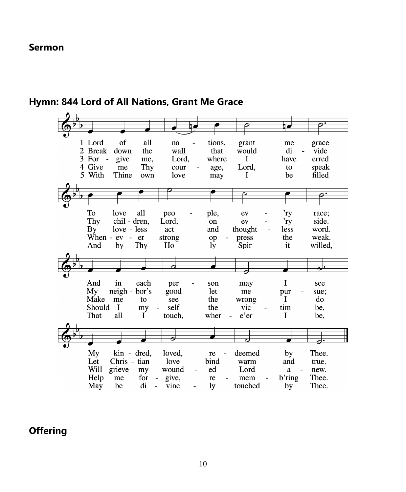#### **Sermon**

### **Hymn: 844 Lord of All Nations, Grant Me Grace**

1 Lord of all na tions, grant grace  $\overline{a}$ me 2 Break down the wall that would di vide  $\overline{a}$ 3 For give me, Lord, where  $\bf{I}$ have erred Lord, 4 Give me Thy cour age, to speak ÷. 5 With Thine filled love  $\mathbf I$ be own may  $\overline{\rho^{\centerdot}}$ **To** 'ry love all peo ple, ev race; chil - dren.  $r_{\rm y}$ Thy Lord.  $\alpha$  $ev$ side.  $Bv$ love - less act and thought word. less When -  $ev - er$ strong op press the weak.  $\sim$ And by Thy  $H_0$  $1\bar{v}$ Spir it willed,  $\overline{\phi^{\centerdot}}$ ᅿ And in each may  $\mathbf I$ see per son My neigh - bor's let sue; good me pur Make  $\mathbf I$ me see the wrong do to self Should I my  $\sim$ the vic tim be, That all  $\mathbf I$ touch, wher e'er  $\mathbf I$ be,  $\frac{1}{2}$ ಶ My kin - dred. loved. deemed by Thee. re  $\ddot{\phantom{a}}$ Let Chris - tian love bind warm and true. Will grieve my wound ed Lord new. a  $\mathbb{Z}^2$  $for$  $b'$ ring Help me give, mem Thee. re  $di$ touched May be  $\mathbf{L}$ vine  $1<sub>V</sub>$ by Thee.

**Offering**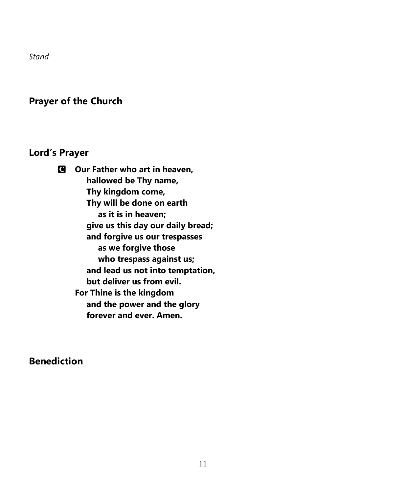*Stand*

#### **Prayer of the Church**

#### **Lord's Prayer**

C **Our Father who art in heaven, hallowed be Thy name, Thy kingdom come, Thy will be done on earth as it is in heaven; give us this day our daily bread; and forgive us our trespasses as we forgive those who trespass against us; and lead us not into temptation, but deliver us from evil. For Thine is the kingdom and the power and the glory forever and ever. Amen.**

# **Benediction**